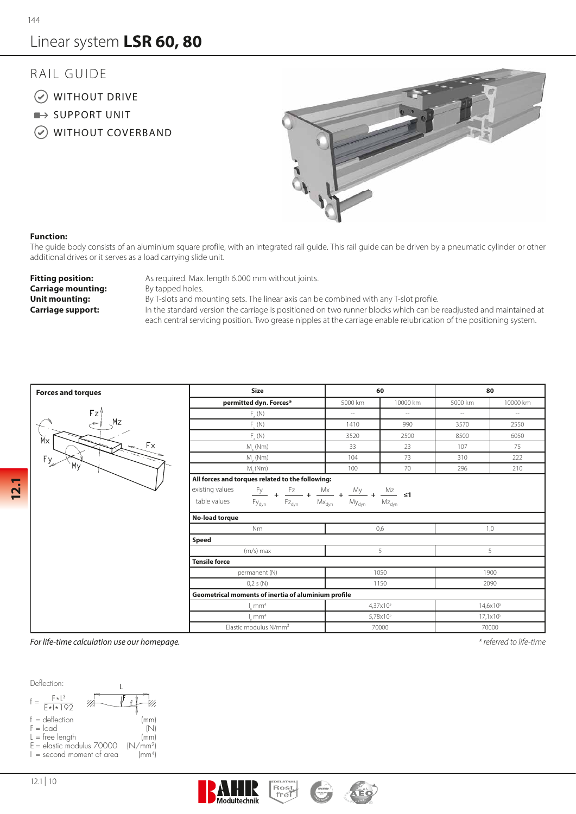# Linear system LSR 60, 80

### RAIL GUIDE

- WITHOUT DRIVE
- $\rightarrow$  SUPPORT UNIT
- WITHOUT COVERBAND



### **Function:**

The guide body consists of an aluminium square profile, with an integrated rail guide. This rail guide can be driven by a pneumatic cylinder or other additional drives or it serves as a load carrying slide unit.

**Carriage mounting:** By tapped holes.

**Fitting position:** As required. Max. length 6.000 mm without joints.

**Unit mounting:** By T-slots and mounting sets. The linear axis can be combined with any T-slot profile.

**Carriage support:** In the standard version the carriage is positioned on two runner blocks which can be readjusted and maintained at each central servicing position. Two grease nipples at the carriage enable relubrication of the positioning system.

| <b>Forces and torques</b> | <b>Size</b>                                                                                                                                                                                                                                                          |         | 60                   | 80                   |                     |  |  |  |  |  |  |  |  |  |
|---------------------------|----------------------------------------------------------------------------------------------------------------------------------------------------------------------------------------------------------------------------------------------------------------------|---------|----------------------|----------------------|---------------------|--|--|--|--|--|--|--|--|--|
|                           | permitted dyn. Forces*                                                                                                                                                                                                                                               | 5000 km | 10000 km             | 5000 km              | 10000 km            |  |  |  |  |  |  |  |  |  |
| Fz'                       | $F_{y}(N)$                                                                                                                                                                                                                                                           | $\sim$  | $\sim$               | $-\,-$               | $\hspace{0.05cm} -$ |  |  |  |  |  |  |  |  |  |
| Mz<br>÷                   | $F_{\nu}(N)$                                                                                                                                                                                                                                                         | 1410    | 990                  |                      | 2550                |  |  |  |  |  |  |  |  |  |
| $\breve{\mathsf{M}}$      | $F_{-}(N)$                                                                                                                                                                                                                                                           | 3520    | 2500                 | 8500                 | 6050                |  |  |  |  |  |  |  |  |  |
| Fx<br>Fy<br>Мy            | $M_{\nu}$ (Nm)                                                                                                                                                                                                                                                       | 33      | 23                   | 107                  | 75                  |  |  |  |  |  |  |  |  |  |
|                           | $M_{\nu}$ (Nm)                                                                                                                                                                                                                                                       | 104     | 73                   | 310                  | 222                 |  |  |  |  |  |  |  |  |  |
|                           | $M_{1}(Nm)$                                                                                                                                                                                                                                                          | 100     | 70                   | 296                  | 210                 |  |  |  |  |  |  |  |  |  |
|                           | All forces and torques related to the following:                                                                                                                                                                                                                     |         |                      |                      |                     |  |  |  |  |  |  |  |  |  |
|                           | existing values<br>Fy                                                                                                                                                                                                                                                |         |                      |                      |                     |  |  |  |  |  |  |  |  |  |
|                           | $\frac{{\sf Fz}}{{\sf Fz}_{\text{dyn}}} \; + \; \frac{{\sf Mx}}{{\sf Mx}_{\text{dyn}}} \; + \; \frac{{\sf My}}{{\sf My}_{\text{dyn}}} \; + \; \frac{{\sf Mz}}{{\sf Mz}_{\text{dyn}}} \; \leq 1$<br>$\mathsf{Fz}_{\mathsf{dyn}}$<br>table values<br>Fy <sub>dyn</sub> |         |                      |                      |                     |  |  |  |  |  |  |  |  |  |
|                           | No-load torque                                                                                                                                                                                                                                                       |         |                      |                      |                     |  |  |  |  |  |  |  |  |  |
|                           | <b>Nm</b>                                                                                                                                                                                                                                                            |         | 0,6                  | 1,0                  |                     |  |  |  |  |  |  |  |  |  |
|                           | Speed                                                                                                                                                                                                                                                                |         |                      |                      |                     |  |  |  |  |  |  |  |  |  |
|                           | $(m/s)$ max                                                                                                                                                                                                                                                          |         | 5                    | 5                    |                     |  |  |  |  |  |  |  |  |  |
|                           | <b>Tensile force</b>                                                                                                                                                                                                                                                 |         |                      |                      |                     |  |  |  |  |  |  |  |  |  |
|                           | permanent (N)                                                                                                                                                                                                                                                        |         | 1050                 | 1900                 |                     |  |  |  |  |  |  |  |  |  |
|                           | 0,2 s(N)                                                                                                                                                                                                                                                             |         | 1150                 | 2090                 |                     |  |  |  |  |  |  |  |  |  |
|                           | Geometrical moments of inertia of aluminium profile                                                                                                                                                                                                                  |         |                      |                      |                     |  |  |  |  |  |  |  |  |  |
|                           | mm <sup>4</sup>                                                                                                                                                                                                                                                      |         | $4.37 \times 10^{5}$ | 14,6x10 <sup>5</sup> |                     |  |  |  |  |  |  |  |  |  |
|                           | mm <sup>4</sup>                                                                                                                                                                                                                                                      |         | 5,78×10 <sup>5</sup> | $17,1 \times 10^{5}$ |                     |  |  |  |  |  |  |  |  |  |
|                           | Elastic modulus N/mm <sup>2</sup>                                                                                                                                                                                                                                    |         | 70000                | 70000                |                     |  |  |  |  |  |  |  |  |  |

*For life-time calculation use our homepage. \* referred to life-time*



12.1 | 10

**12.1**